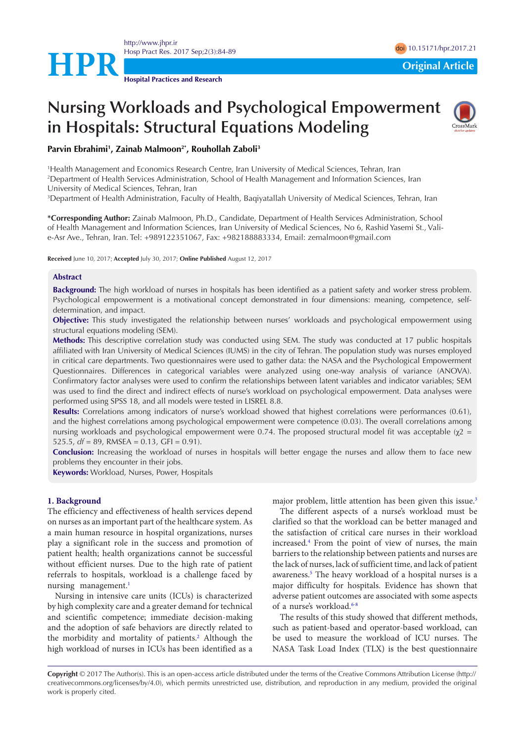

# **Nursing Workloads and Psychological Empowerment in Hospitals: Structural Equations Modeling**



**Parvin Ebrahimi1 , Zainab Malmoon2\*, Rouhollah Zaboli3**

1 Health Management and Economics Research Centre, Iran University of Medical Sciences, Tehran, Iran 2 Department of Health Services Administration, School of Health Management and Information Sciences, Iran

University of Medical Sciences, Tehran, Iran

3 Department of Health Administration, Faculty of Health, Baqiyatallah University of Medical Sciences, Tehran, Iran

**\*Corresponding Author:** Zainab Malmoon, Ph.D., Candidate, Department of Health Services Administration, School of Health Management and Information Sciences, Iran University of Medical Sciences, No 6, Rashid Yasemi St., Valie-Asr Ave., Tehran, Iran. Tel: +989122351067, Fax: +982188883334, Email: zemalmoon@gmail.com

**Received** June 10, 2017; **Accepted** July 30, 2017; **Online Published** August 12, 2017

#### **Abstract**

**Background:** The high workload of nurses in hospitals has been identified as a patient safety and worker stress problem. Psychological empowerment is a motivational concept demonstrated in four dimensions: meaning, competence, selfdetermination, and impact.

**Objective:** This study investigated the relationship between nurses' workloads and psychological empowerment using structural equations modeling (SEM).

**Methods:** This descriptive correlation study was conducted using SEM. The study was conducted at 17 public hospitals affiliated with Iran University of Medical Sciences (IUMS) in the city of Tehran. The population study was nurses employed in critical care departments. Two questionnaires were used to gather data: the NASA and the Psychological Empowerment Questionnaires. Differences in categorical variables were analyzed using one-way analysis of variance (ANOVA). Confirmatory factor analyses were used to confirm the relationships between latent variables and indicator variables; SEM was used to find the direct and indirect effects of nurse's workload on psychological empowerment. Data analyses were performed using SPSS 18, and all models were tested in LISREL 8.8.

**Results:** Correlations among indicators of nurse's workload showed that highest correlations were performances (0.61), and the highest correlations among psychological empowerment were competence (0.03). The overall correlations among nursing workloads and psychological empowerment were 0.74. The proposed structural model fit was acceptable ( $χ2 =$ 525.5,  $df = 89$ , RMSEA = 0.13, GFI = 0.91).

**Conclusion:** Increasing the workload of nurses in hospitals will better engage the nurses and allow them to face new problems they encounter in their jobs.

**Keywords:** Workload, Nurses, Power, Hospitals

#### **1. Background**

The efficiency and effectiveness of health services depend on nurses as an important part of the healthcare system. As a main human resource in hospital organizations, nurses play a significant role in the success and promotion of patient health; health organizations cannot be successful without efficient nurses. Due to the high rate of patient referrals to hospitals, workload is a challenge faced by nursing management.<sup>[1](#page-5-0)</sup>

Nursing in intensive care units (ICUs) is characterized by high complexity care and a greater demand for technical and scientific competence; immediate decision-making and the adoption of safe behaviors are directly related to the morbidity and mortality of patients. [2](#page-5-1) Although the high workload of nurses in ICUs has been identified as a

major problem, little attention has been given this issue. [3](#page-5-2)

The different aspects of a nurse's workload must be clarified so that the workload can be better managed and the satisfaction of critical care nurses in their workload increased. [4](#page-5-3) From the point of view of nurses, the main barriers to the relationship between patients and nurses are the lack of nurses, lack of sufficient time, and lack of patient awareness.<sup>5</sup> The heavy workload of a hospital nurses is a major difficulty for hospitals. Evidence has shown that adverse patient outcomes are associated with some aspects of a nurse's workload.<sup>6[-8](#page-5-6)</sup>

The results of this study showed that different methods, such as patient-based and operator-based workload, can be used to measure the workload of ICU nurses. The NASA Task Load Index (TLX) is the best questionnaire

**Copyright** © 2017 The Author(s). This is an open-access article distributed under the terms of the Creative Commons Attribution License (http:// creativecommons.org/licenses/by/4.0), which permits unrestricted use, distribution, and reproduction in any medium, provided the original work is properly cited.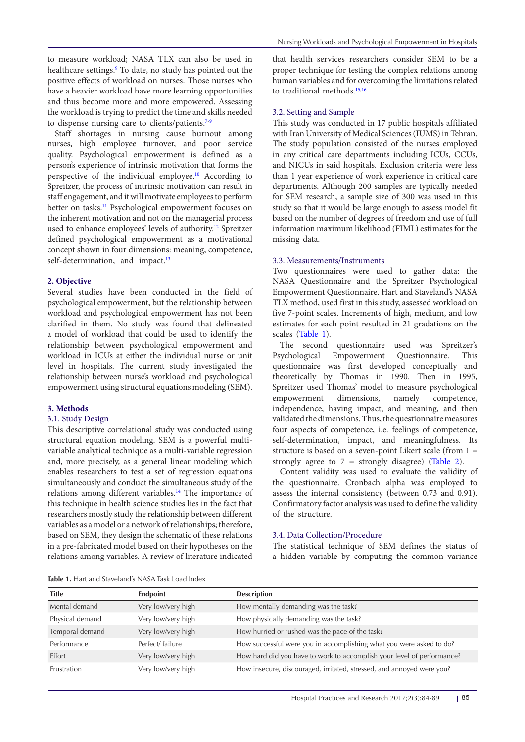to measure workload; NASA TLX can also be used in healthcare settings.[9](#page-5-7) To date, no study has pointed out the positive effects of workload on nurses. Those nurses who have a heavier workload have more learning opportunities and thus become more and more empowered. Assessing the workload is trying to predict the time and skills needed to dispense nursing care to clients/patients.<sup>[7](#page-5-8)[-9](#page-5-7)</sup>

Staff shortages in nursing cause burnout among nurses, high employee turnover, and poor service quality. Psychological empowerment is defined as a person's experience of intrinsic motivation that forms the perspective of the individual employee.<sup>[10](#page-5-9)</sup> According to Spreitzer, the process of intrinsic motivation can result in staff engagement, and it will motivate employees to perform better on tasks.<sup>11</sup> Psychological empowerment focuses on the inherent motivation and not on the managerial process used to enhance employees' levels of authority.[12](#page-5-11) Spreitzer defined psychological empowerment as a motivational concept shown in four dimensions: meaning, competence, self-determination, and impact.<sup>[13](#page-5-12)</sup>

## **2. Objective**

Several studies have been conducted in the field of psychological empowerment, but the relationship between workload and psychological empowerment has not been clarified in them. No study was found that delineated a model of workload that could be used to identify the relationship between psychological empowerment and workload in ICUs at either the individual nurse or unit level in hospitals. The current study investigated the relationship between nurse's workload and psychological empowerment using structural equations modeling (SEM).

## **3. Methods**

# 3.1. Study Design

This descriptive correlational study was conducted using structural equation modeling. SEM is a powerful multivariable analytical technique as a multi-variable regression and, more precisely, as a general linear modeling which enables researchers to test a set of regression equations simultaneously and conduct the simultaneous study of the relations among different variables[.14](#page-5-13) The importance of this technique in health science studies lies in the fact that researchers mostly study the relationship between different variables as a model or a network of relationships; therefore, based on SEM, they design the schematic of these relations in a pre-fabricated model based on their hypotheses on the relations among variables. A review of literature indicated

that health services researchers consider SEM to be a proper technique for testing the complex relations among human variables and for overcoming the limitations related to traditional methods.<sup>15,[16](#page-5-15)</sup>

## 3.2. Setting and Sample

This study was conducted in 17 public hospitals affiliated with Iran University of Medical Sciences (IUMS) in Tehran. The study population consisted of the nurses employed in any critical care departments including ICUs, CCUs, and NICUs in said hospitals. Exclusion criteria were less than 1 year experience of work experience in critical care departments. Although 200 samples are typically needed for SEM research, a sample size of 300 was used in this study so that it would be large enough to assess model fit based on the number of degrees of freedom and use of full information maximum likelihood (FIML) estimates for the missing data.

#### 3.3. Measurements/Instruments

Two questionnaires were used to gather data: the NASA Questionnaire and the Spreitzer Psychological Empowerment Questionnaire. Hart and Staveland's NASA TLX method, used first in this study, assessed workload on five 7-point scales. Increments of high, medium, and low estimates for each point resulted in 21 gradations on the scales (Table 1).

The second questionnaire used was Spreitzer's Psychological Empowerment Questionnaire. This questionnaire was first developed conceptually and theoretically by Thomas in 1990. Then in 1995, Spreitzer used Thomas' model to measure psychological empowerment dimensions, namely competence, independence, having impact, and meaning, and then validated the dimensions. Thus, the questionnaire measures four aspects of competence, i.e. feelings of competence, self-determination, impact, and meaningfulness. Its structure is based on a seven-point Likert scale (from 1 = strongly agree to  $7 =$  strongly disagree) ([Table 2\)](#page-2-0).

Content validity was used to evaluate the validity of the questionnaire. Cronbach alpha was employed to assess the internal consistency (between 0.73 and 0.91). Confirmatory factor analysis was used to define the validity of the structure.

# 3.4. Data Collection/Procedure

The statistical technique of SEM defines the status of a hidden variable by computing the common variance

**Table 1.** Hart and Staveland's NASA Task Load Index

| <b>Title</b>    | Endpoint           | <b>Description</b>                                                     |
|-----------------|--------------------|------------------------------------------------------------------------|
| Mental demand   | Very low/very high | How mentally demanding was the task?                                   |
| Physical demand | Very low/very high | How physically demanding was the task?                                 |
| Temporal demand | Very low/very high | How hurried or rushed was the pace of the task?                        |
| Performance     | Perfect/failure    | How successful were you in accomplishing what you were asked to do?    |
| Effort          | Very low/very high | How hard did you have to work to accomplish your level of performance? |
| Frustration     | Very low/very high | How insecure, discouraged, irritated, stressed, and annoyed were you?  |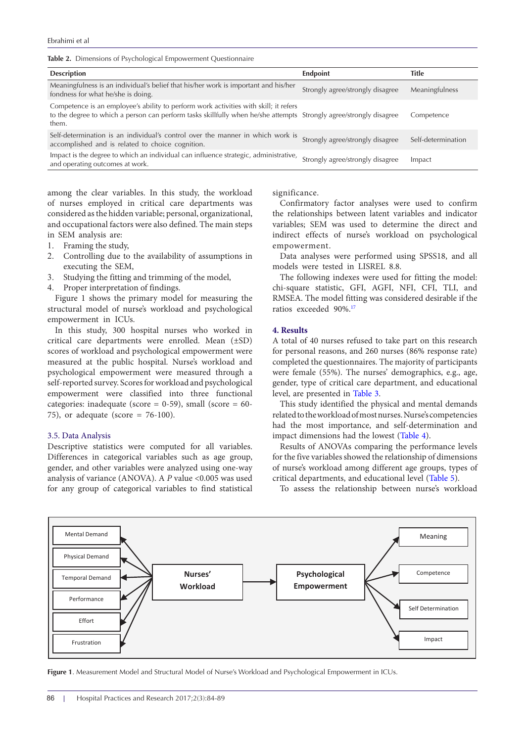<span id="page-2-0"></span>

|  |  |  |  | Table 2. Dimensions of Psychological Empowerment Questionnaire |  |
|--|--|--|--|----------------------------------------------------------------|--|
|--|--|--|--|----------------------------------------------------------------|--|

| <b>Endpoint</b>                                                                     | <b>Title</b>                                                                                                                                                                                                                                                                                                                                                                         |
|-------------------------------------------------------------------------------------|--------------------------------------------------------------------------------------------------------------------------------------------------------------------------------------------------------------------------------------------------------------------------------------------------------------------------------------------------------------------------------------|
| Strongly agree/strongly disagree                                                    | Meaningfulness                                                                                                                                                                                                                                                                                                                                                                       |
|                                                                                     | Competence                                                                                                                                                                                                                                                                                                                                                                           |
| Strongly agree/strongly disagree                                                    | Self-determination                                                                                                                                                                                                                                                                                                                                                                   |
| Strongly agree/strongly disagree                                                    | Impact                                                                                                                                                                                                                                                                                                                                                                               |
| Meaningfulness is an individual's belief that his/her work is important and his/her | Competence is an employee's ability to perform work activities with skill; it refers<br>to the degree to which a person can perform tasks skillfully when he/she attempts Strongly agree/strongly disagree<br>Self-determination is an individual's control over the manner in which work is<br>Impact is the degree to which an individual can influence strategic, administrative, |

among the clear variables. In this study, the workload of nurses employed in critical care departments was considered as the hidden variable; personal, organizational, and occupational factors were also defined. The main steps in SEM analysis are:

- 1. Framing the study,
- 2. Controlling due to the availability of assumptions in executing the SEM,
- 3. Studying the fitting and trimming of the model,
- 4. Proper interpretation of findings.

Figure 1 shows the primary model for measuring the structural model of nurse's workload and psychological empowerment in ICUs.

In this study, 300 hospital nurses who worked in critical care departments were enrolled. Mean (±SD) scores of workload and psychological empowerment were measured at the public hospital. Nurse's workload and psychological empowerment were measured through a self-reported survey. Scores for workload and psychological empowerment were classified into three functional categories: inadequate (score = 0-59), small (score = 60- 75), or adequate (score = 76-100).

## 3.5. Data Analysis

Descriptive statistics were computed for all variables. Differences in categorical variables such as age group, gender, and other variables were analyzed using one-way analysis of variance (ANOVA). A P value <0.005 was used for any group of categorical variables to find statistical

significance.

Confirmatory factor analyses were used to confirm the relationships between latent variables and indicator variables; SEM was used to determine the direct and indirect effects of nurse's workload on psychological empowerment.

Data analyses were performed using SPSS18, and all models were tested in LISREL 8.8.

The following indexes were used for fitting the model: chi-square statistic, GFI, AGFI, NFI, CFI, TLI, and RMSEA. The model fitting was considered desirable if the ratios exceeded 90%.[17](#page-5-16)

## **4. Results**

A total of 40 nurses refused to take part on this research for personal reasons, and 260 nurses (86% response rate) completed the questionnaires. The majority of participants were female (55%). The nurses' demographics, e.g., age, gender, type of critical care department, and educational level, are presented in [Table 3.](#page-3-0)

This study identified the physical and mental demands related to the workload of most nurses. Nurse's competencies had the most importance, and self-determination and impact dimensions had the lowest ([Table 4](#page-3-1)).

Results of ANOVAs comparing the performance levels for the five variables showed the relationship of dimensions of nurse's workload among different age groups, types of critical departments, and educational level ([Table 5\)](#page-3-2).

To assess the relationship between nurse's workload



**Figure 1**. Measurement Model and Structural Model of Nurse's Workload and Psychological Empowerment in ICUs.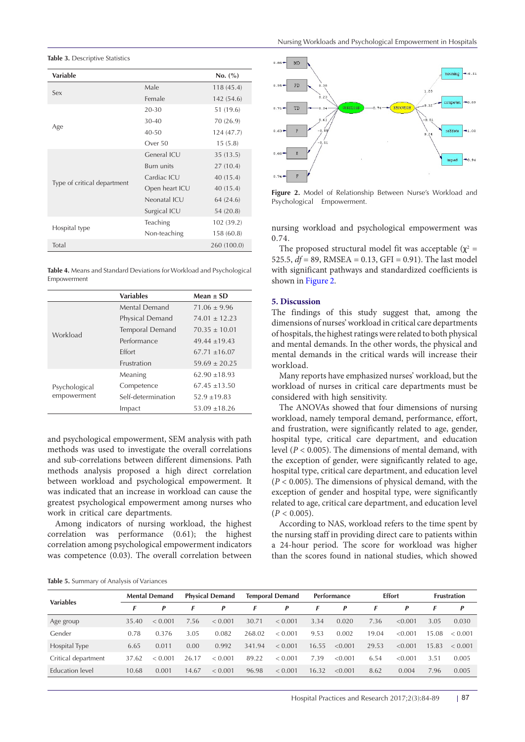<span id="page-3-0"></span>**Table 3. Descriptive Statistics** 

| <b>Variable</b>             |                | No. (%)     |
|-----------------------------|----------------|-------------|
|                             | Male           | 118(45.4)   |
| Sex                         | Female         | 142 (54.6)  |
|                             | 20-30          | 51 (19.6)   |
|                             | $30 - 40$      | 70 (26.9)   |
| Age                         | $40 - 50$      | 124 (47.7)  |
|                             | Over 50        | 15(5.8)     |
|                             | General ICU    | 35(13.5)    |
|                             | Burn units     | 27(10.4)    |
|                             | Cardiac ICU    | 40 (15.4)   |
| Type of critical department | Open heart ICU | 40 (15.4)   |
|                             | Neonatal ICU   | 64 (24.6)   |
|                             | Surgical ICU   | 54 (20.8)   |
|                             | Teaching       | 102 (39.2)  |
| Hospital type               | Non-teaching   | 158 (60.8)  |
| Total                       |                | 260 (100.0) |

<span id="page-3-1"></span>**Table 4.** Means and Standard Deviations for Workload and Psychological Empowerment

|               | <b>Variables</b>   | Mean $\pm$ SD     |
|---------------|--------------------|-------------------|
|               | Mental Demand      | $71.06 \pm 9.96$  |
|               | Physical Demand    | $74.01 + 12.23$   |
| Workload      | Temporal Demand    | $70.35 \pm 10.01$ |
|               | Performance        | $49.44 \pm 19.43$ |
|               | <b>Fffort</b>      | $67.71 \pm 16.07$ |
|               | Frustration        | $59.69 \pm 20.25$ |
|               | Meaning            | $62.90 \pm 18.93$ |
| Psychological | Competence         | $67.45 \pm 13.50$ |
| empowerment   | Self-determination | $52.9 + 19.83$    |
|               | Impact             | $53.09 + 18.26$   |

and psychological empowerment, SEM analysis with path methods was used to investigate the overall correlations and sub-correlations between different dimensions. Path methods analysis proposed a high direct correlation between workload and psychological empowerment. It was indicated that an increase in workload can cause the greatest psychological empowerment among nurses who work in critical care departments.

Among indicators of nursing workload, the highest correlation was performance (0.61); the highest correlation among psychological empowerment indicators was competence (0.03). The overall correlation between

<span id="page-3-2"></span>

| Table 5. Summary of Analysis of Variances |  |  |
|-------------------------------------------|--|--|
|-------------------------------------------|--|--|

<span id="page-3-3"></span>

**Figure 2.** Model of Relationship Between Nurse's Workload and Psychological Empowerment.

nursing workload and psychological empowerment was 0.74.

The proposed structural model fit was acceptable ( $\chi^2$  = 525.5,  $df = 89$ , RMSEA = 0.13, GFI = 0.91). The last model with significant pathways and standardized coefficients is shown in [Figure 2](#page-3-3).

#### **5. Discussion**

The findings of this study suggest that, among the dimensions of nurses' workload in critical care departments of hospitals, the highest ratings were related to both physical and mental demands. In the other words, the physical and mental demands in the critical wards will increase their workload.

Many reports have emphasized nurses' workload, but the workload of nurses in critical care departments must be considered with high sensitivity.

The ANOVAs showed that four dimensions of nursing workload, namely temporal demand, performance, effort, and frustration, were significantly related to age, gender, hospital type, critical care department, and education level (*P* < 0.005). The dimensions of mental demand, with the exception of gender, were significantly related to age, hospital type, critical care department, and education level (*P* < 0.005). The dimensions of physical demand, with the exception of gender and hospital type, were significantly related to age, critical care department, and education level  $(P < 0.005)$ .

According to NAS, workload refers to the time spent by the nursing staff in providing direct care to patients within a 24-hour period. The score for workload was higher than the scores found in national studies, which showed

| <b>Variables</b>       | <b>Mental Demand</b> |         | <b>Physical Demand</b> |         | <b>Temporal Demand</b> |         | <b>Performance</b> |         | <b>Effort</b> |         | <b>Frustration</b> |         |
|------------------------|----------------------|---------|------------------------|---------|------------------------|---------|--------------------|---------|---------------|---------|--------------------|---------|
|                        | F                    | P       | F                      | P       |                        | P       | F                  | P       |               | P       |                    | P       |
| Age group              | 35.40                | < 0.001 | 7.56                   | < 0.001 | 30.71                  | < 0.001 | 3.34               | 0.020   | 7.36          | < 0.001 | 3.05               | 0.030   |
| Gender                 | 0.78                 | 0.376   | 3.05                   | 0.082   | 268.02                 | < 0.001 | 9.53               | 0.002   | 19.04         | < 0.001 | 15.08              | < 0.001 |
| Hospital Type          | 6.65                 | 0.011   | 0.00                   | 0.992   | 341.94                 | < 0.001 | 16.55              | < 0.001 | 29.53         | < 0.001 | 15.83              | < 0.001 |
| Critical department    | 37.62                | < 0.001 | 26.17                  | < 0.001 | 89.22                  | < 0.001 | 7.39               | < 0.001 | 6.54          | < 0.001 | 3.51               | 0.005   |
| <b>Education</b> level | 10.68                | 0.001   | 14.67                  | < 0.001 | 96.98                  | < 0.001 | 16.32              | < 0.001 | 8.62          | 0.004   | 7.96               | 0.005   |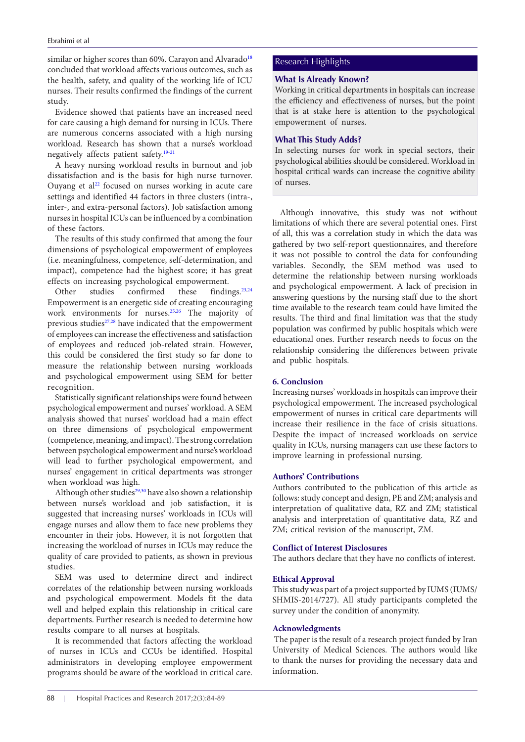similar or higher scores than 60%. Carayon and Alvarado<sup>[18](#page-5-17)</sup> concluded that workload affects various outcomes, such as the health, safety, and quality of the working life of ICU nurses. Their results confirmed the findings of the current study.

Evidence showed that patients have an increased need for care causing a high demand for nursing in ICUs. There are numerous concerns associated with a high nursing workload. Research has shown that a nurse's workload negatively affects patient safety[.19-](#page-5-18)[21](#page-5-19)

A heavy nursing workload results in burnout and job dissatisfaction and is the basis for high nurse turnover. Ouyang et  $al<sup>22</sup>$  $al<sup>22</sup>$  $al<sup>22</sup>$  focused on nurses working in acute care settings and identified 44 factors in three clusters (intra-, inter-, and extra-personal factors). Job satisfaction among nurses in hospital ICUs can be influenced by a combination of these factors.

The results of this study confirmed that among the four dimensions of psychological empowerment of employees (i.e. meaningfulness, competence, self-determination, and impact), competence had the highest score; it has great effects on increasing psychological empowerment.

Other studies confirmed these findings.<sup>[23](#page-5-21),[24](#page-5-22)</sup> Empowerment is an energetic side of creating encouraging work environments for nurses.[25](#page-5-23),[26](#page-5-24) The majority of previous studies $27,28$  $27,28$  $27,28$  have indicated that the empowerment of employees can increase the effectiveness and satisfaction of employees and reduced job-related strain. However, this could be considered the first study so far done to measure the relationship between nursing workloads and psychological empowerment using SEM for better recognition.

Statistically significant relationships were found between psychological empowerment and nurses' workload. A SEM analysis showed that nurses' workload had a main effect on three dimensions of psychological empowerment (competence, meaning, and impact). The strong correlation between psychological empowerment and nurse's workload will lead to further psychological empowerment, and nurses' engagement in critical departments was stronger when workload was high.

Although other studies<sup>29,30</sup> have also shown a relationship between nurse's workload and job satisfaction, it is suggested that increasing nurses' workloads in ICUs will engage nurses and allow them to face new problems they encounter in their jobs. However, it is not forgotten that increasing the workload of nurses in ICUs may reduce the quality of care provided to patients, as shown in previous studies.

SEM was used to determine direct and indirect correlates of the relationship between nursing workloads and psychological empowerment. Models fit the data well and helped explain this relationship in critical care departments. Further research is needed to determine how results compare to all nurses at hospitals.

It is recommended that factors affecting the workload of nurses in ICUs and CCUs be identified. Hospital administrators in developing employee empowerment programs should be aware of the workload in critical care.

## Research Highlights

# **What Is Already Known?**

Working in critical departments in hospitals can increase the efficiency and effectiveness of nurses, but the point that is at stake here is attention to the psychological empowerment of nurses.

# **What This Study Adds?**

In selecting nurses for work in special sectors, their psychological abilities should be considered. Workload in hospital critical wards can increase the cognitive ability of nurses.

Although innovative, this study was not without limitations of which there are several potential ones. First of all, this was a correlation study in which the data was gathered by two self-report questionnaires, and therefore it was not possible to control the data for confounding variables. Secondly, the SEM method was used to determine the relationship between nursing workloads and psychological empowerment. A lack of precision in answering questions by the nursing staff due to the short time available to the research team could have limited the results. The third and final limitation was that the study population was confirmed by public hospitals which were educational ones. Further research needs to focus on the relationship considering the differences between private and public hospitals.

# **6. Conclusion**

Increasing nurses' workloads in hospitals can improve their psychological empowerment. The increased psychological empowerment of nurses in critical care departments will increase their resilience in the face of crisis situations. Despite the impact of increased workloads on service quality in ICUs, nursing managers can use these factors to improve learning in professional nursing.

## **Authors' Contributions**

Authors contributed to the publication of this article as follows: study concept and design, PE and ZM; analysis and interpretation of qualitative data, RZ and ZM; statistical analysis and interpretation of quantitative data, RZ and ZM; critical revision of the manuscript, ZM.

# **Conflict of Interest Disclosures**

The authors declare that they have no conflicts of interest.

# **Ethical Approval**

This study was part of a project supported by IUMS (IUMS/ SHMIS-2014/727). All study participants completed the survey under the condition of anonymity.

## **Acknowledgments**

The paper is the result of a research project funded by Iran University of Medical Sciences. The authors would like to thank the nurses for providing the necessary data and information.